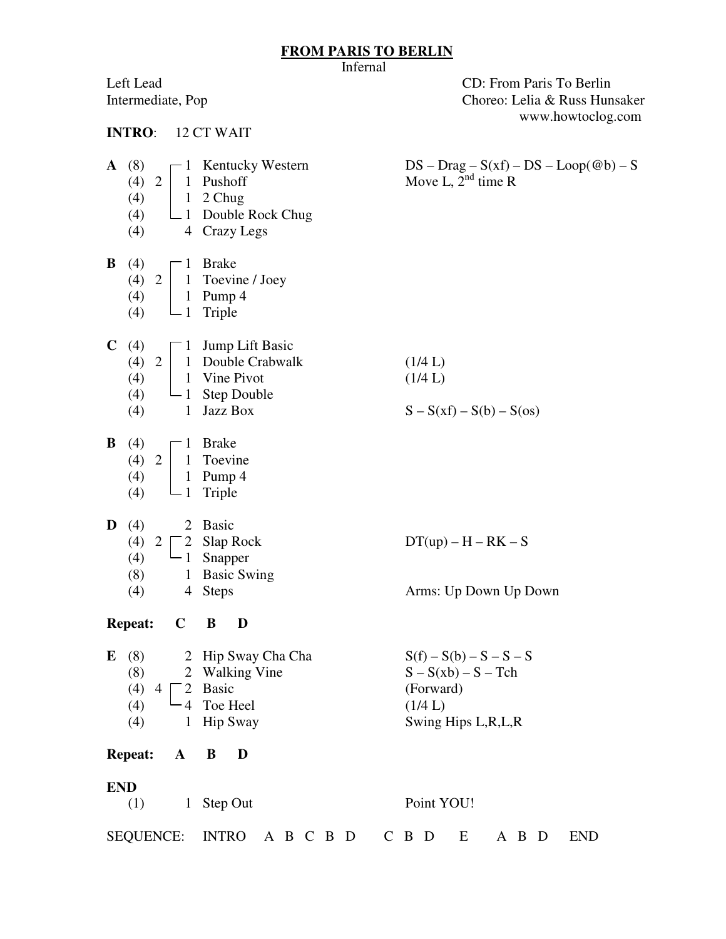## **FROM PARIS TO BERLIN**

|                                                                              | Infernal                                                                                      |                                                                                                |
|------------------------------------------------------------------------------|-----------------------------------------------------------------------------------------------|------------------------------------------------------------------------------------------------|
| Left Lead<br>Intermediate, Pop                                               |                                                                                               | CD: From Paris To Berlin<br>Choreo: Lelia & Russ Hunsaker<br>www.howtoclog.com                 |
| <b>INTRO:</b>                                                                | 12 CT WAIT                                                                                    |                                                                                                |
| $\mathbf{A}$ (8)<br>(4) 2<br>$\mathbf{1}$<br>(4)<br>(4)                      | $-1$ Kentucky Western<br>Pushoff<br>1 2 Chug<br>(4) $\Box$ Double Rock Chug<br>4 Crazy Legs   | $DS - Drag - S(xf) - DS - Loop(@b) - S$<br>Move L, $2nd$ time R                                |
| B<br>(4)<br>(4) 2<br>(4)<br>$(4)$ $\Box$ 1 Triple                            | $\Box$ Brake<br>1 Toevine / Joey<br>1 Pump 4                                                  |                                                                                                |
| C(4)<br>(4) 2<br>(4)<br>(4)<br>(4)                                           | $\Box$ Jump Lift Basic<br>1 Double Crabwalk<br>1 Vine Pivot<br>$-1$ Step Double<br>1 Jazz Box | (1/4 L)<br>(1/4 L)<br>$S - S(xf) - S(b) - S(os)$                                               |
| B<br>(4)<br>(4) 2<br>(4)<br>(4)                                              | $\Box$ Brake<br>1 Toevine<br>1 Pump 4<br>$\Box$ 1 Triple                                      |                                                                                                |
| D<br>(4)<br>$\overline{2}$<br>$(4)$ 2<br>(4)<br>$-1$<br>(8)<br>$(4)$ 4 Steps | 2 Basic<br><b>Slap Rock</b><br>Snapper<br>1 Basic Swing                                       | $DT(up) - H - RK - S$<br>Arms: Up Down Up Down                                                 |
| $\mathbf C$<br><b>Repeat:</b>                                                | B<br>D                                                                                        |                                                                                                |
| (8)<br>E<br>(8)<br>$(4)$ 4<br>(4)<br>- 4<br>(4)<br>$\mathbf{1}$              | 2 Hip Sway Cha Cha<br>2 Walking Vine<br>2 Basic<br>Toe Heel<br><b>Hip Sway</b>                | $S(f) - S(b) - S - S - S$<br>$S-S(xb) - S - Tch$<br>(Forward)<br>(1/4 L)<br>Swing Hips L,R,L,R |
| <b>Repeat:</b><br>$\mathbf{A}$                                               | B<br>D                                                                                        |                                                                                                |
| <b>END</b>                                                                   |                                                                                               |                                                                                                |
| (1)                                                                          | 1 Step Out                                                                                    | Point YOU!                                                                                     |
| <b>SEQUENCE:</b>                                                             | INTRO A B C B D C B D                                                                         | A B D<br><b>END</b><br>E                                                                       |